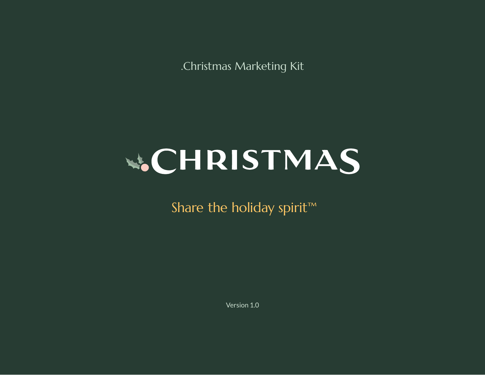.Christmas Marketing Kit



Share the holiday spirit<sup>™</sup>

Version 1.0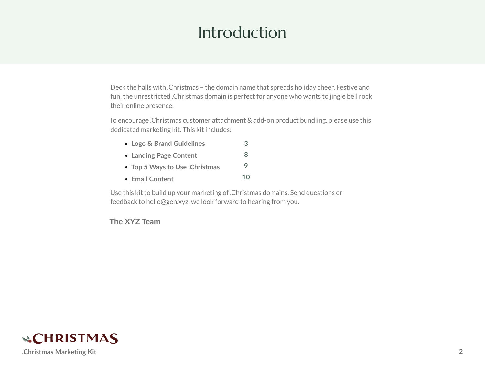### Introduction

Deck the halls with .Christmas – the domain name that spreads holiday cheer. Festive and fun, the unrestricted .Christmas domain is perfect for anyone who wants to jingle bell rock their online presence.

To encourage .Christmas customer attachment & add-on product bundling, please use this dedicated marketing kit. This kit includes:

- **Logo & Brand Guidelines [3](#page-2-0)**
- **Landing Page Content [8](#page-7-0)**
- **Top 5 Ways to Use .Christmas [9](#page-8-0)**
- **Email Content [10](#page-9-0)**

Use this kit to build up your marketing of .Christmas domains. Send questions or feedback to hello@gen.xyz, we look forward to hearing from you.

**The XYZ Team**

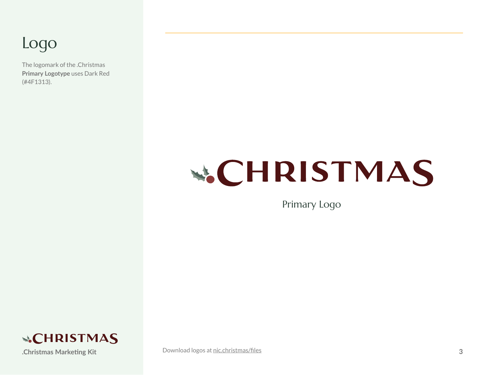#### <span id="page-2-0"></span>Logo

The logomark of the .Christmas **Primary Logotype** uses Dark Red (#4F1313).

# **W.CHRISTMAS**

Primary Logo



**.Christmas Marketing Kit 3** [Download logos at](https://nic.christmas/files) nic.christmas/files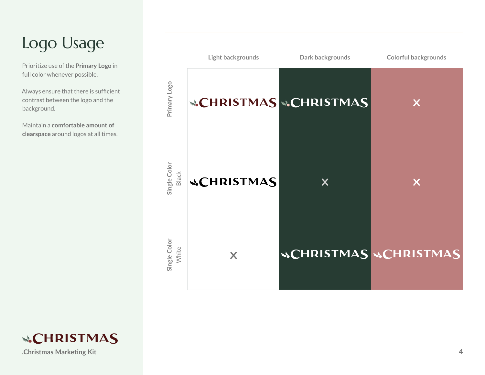# Logo Usage

Prioritize use of the **Primary Logo** in full color whenever possible.

Always ensure that there is sufficient contrast between the logo and the background.

Maintain a **comfortable amount of clearspace** around logos at all times.



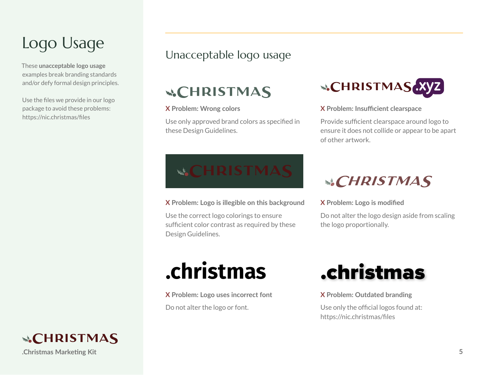### Logo Usage

These **unacceptable logo usage** examples break branding standards and/or defy formal design principles.

Use the files we provide in our logo package to avoid these problems: https://nic.christmas/files

#### Unacceptable logo usage

#### **&CHRISTMAS**

#### **X Problem: Wrong colors**

Use only approved brand colors as specified in these Design Guidelines.



**X Problem: Insufficient clearspace**

Provide sufficient clearspace around logo to ensure it does not collide or appear to be apart of other artwork.

# **&CHRISTMAS**

**X Problem: Logo is illegible on this background**

Use the correct logo colorings to ensure sufficient color contrast as required by these Design Guidelines.

#### **&CHRISTMAS**

**X Problem: Logo is modified**

Do not alter the logo design aside from scaling the logo proportionally.

**X Problem: Logo uses incorrect font** Do not alter the logo or font.



**X Problem: Outdated branding**

Use only the official logos found at: https://nic.christmas/files

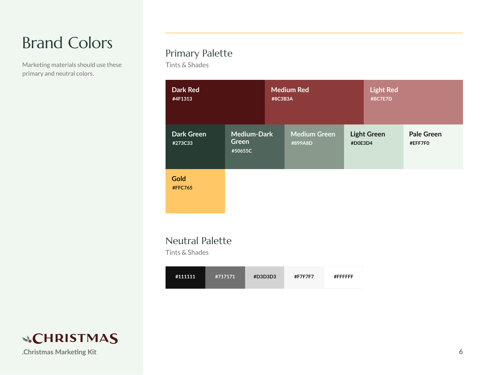# Brand Colors

Marketing materials should use these primary and neutral colors.

#### Primary Palette

Tints & Shades

| <b>Dark Red</b><br>#4F1313    |                                        | <b>Medium Red</b><br>#8C3B3A   |                               | <b>Light Red</b><br>#BC7E7D |                              |
|-------------------------------|----------------------------------------|--------------------------------|-------------------------------|-----------------------------|------------------------------|
| <b>Dark Green</b><br>#273C33  | <b>Medium-Dark</b><br>Green<br>#50655C | <b>Medium Green</b><br>#899A8D | <b>Light Green</b><br>#D0E3D4 |                             | <b>Pale Green</b><br>#EFF7F0 |
| <b>Gold</b><br><b>#FFC765</b> |                                        |                                |                               |                             |                              |

#### Neutral Palette

Tints & Shades

| #111111<br>#717171 | #D3D3D3 | #F7F7F7 | #FFFFFFF |
|--------------------|---------|---------|----------|
|--------------------|---------|---------|----------|

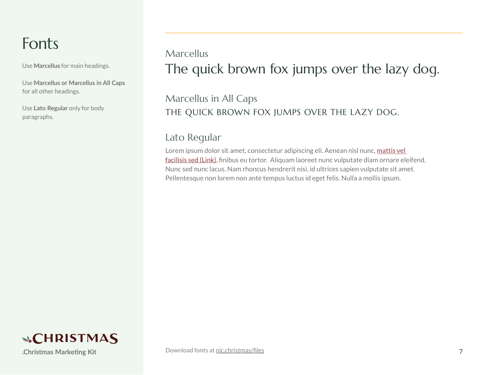#### Fonts

Use **Marcellus** for main headings.

Use **Marcellus or Marcellus in All Caps** for all other headings.

Use **Lato Regular** only for body paragraphs.

#### The quick brown fox jumps over the lazy dog. Marcellus

#### THE QUICK BROWN FOX JUMPS OVER THE LAZY DOG. Marcellus in All Caps

#### Lato Regular

Lorem ipsum dolor sit amet, consectetur adipiscing eli. Aenean nisl nunc, mattis vel facilisis sed (Link), finibus eu tortor. Aliquam laoreet nunc vulputate diam ornare eleifend. Nunc sed nunc lacus. Nam rhoncus hendrerit nisi, id ultrices sapien vulputate sit amet. Pellentesque non lorem non ante tempus luctus id eget felis. Nulla a mollis ipsum.

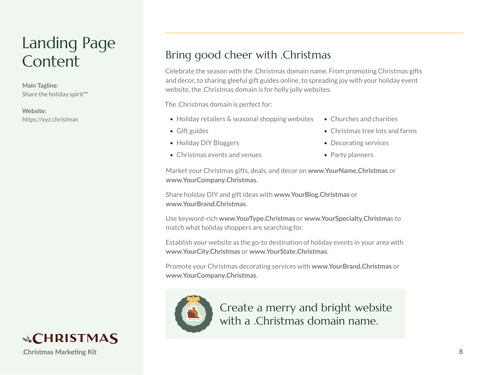### <span id="page-7-0"></span>Landing Page **Content**

**Main Tagline:** Share the holiday spirit™

**Website:** https://xyz.christmas

#### Bring good cheer with .Christmas

Celebrate the season with the .Christmas domain name. From promoting Christmas gifts and decor, to sharing gleeful gift guides online, to spreading joy with your holiday event website, the .Christmas domain is for holly jolly websites.

The .Christmas domain is perfect for:

- Holiday retailers & seasonal shopping websites
- Gift guides
- Holiday DIY Bloggers
- Christmas events and venues
- Churches and charities
- Christmas tree lots and farms
- Decorating services
- Party planners

Market your Christmas gifts, deals, and decor on **www.YourName.Christmas** or **www.YourCompany.Christmas**.

Share holiday DIY and gift ideas with **www.YourBlog.Christmas** or **www.YourBrand.Christmas**.

Use keyword-rich **www.YourType.Christmas** or **www.YourSpecialty.Christma**s to match what holiday shoppers are searching for.

Establish your website as the go-to destination of holiday events in your area with **www.YourCity.Christmas** or **www.YourState.Christmas**.

Promote your Christmas decorating services with **www.YourBrand.Christmas** or **www.YourCompany.Christmas**.



Create a merry and bright website with a .Christmas domain name.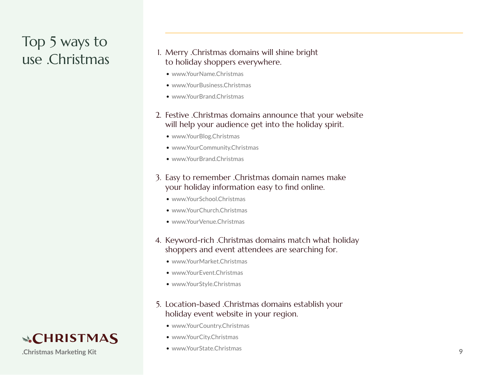# <span id="page-8-0"></span>Top 5 ways to

#### USE .Christmas Merry .Christmas domains will shine bright<br>
USE .Christmas Merry to holiday shoppers everywhere. to holiday shoppers everywhere.

- www.YourName.Christmas
- www.YourBusiness.Christmas
- www.YourBrand.Christmas
- 2. Festive .Christmas domains announce that your website will help your audience get into the holiday spirit.
	- www.YourBlog.Christmas
	- www.YourCommunity.Christmas
	- www.YourBrand.Christmas
- 3. Easy to remember .Christmas domain names make your holiday information easy to find online.
	- www.YourSchool.Christmas
	- www.YourChurch.Christmas
	- www.YourVenue.Christmas
- 4. Keyword-rich .Christmas domains match what holiday shoppers and event attendees are searching for.
	- www.YourMarket.Christmas
	- www.YourEvent.Christmas
	- www.YourStyle.Christmas
- 5. Location-based .Christmas domains establish your holiday event website in your region.
	- www.YourCountry.Christmas
	- www.YourCity.Christmas
	- www.YourState.Christmas

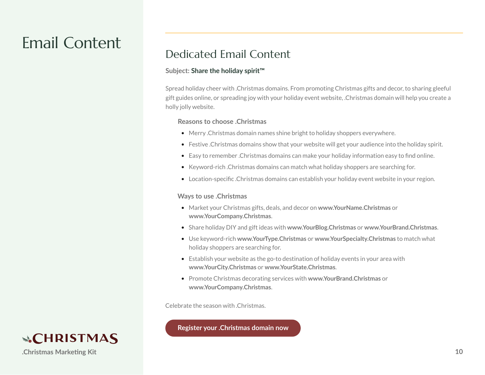#### <span id="page-9-0"></span>Email Content

#### Dedicated Email Content

#### **Subject: Share the holiday spirit™**

Spread holiday cheer with .Christmas domains. From promoting Christmas gifts and decor, to sharing gleeful gift guides online, or spreading joy with your holiday event website, .Christmas domain will help you create a holly jolly website.

#### **Reasons to choose .Christmas**

- Merry .Christmas domain names shine bright to holiday shoppers everywhere.
- Festive .Christmas domains show that your website will get your audience into the holiday spirit.
- Easy to remember .Christmas domains can make your holiday information easy to find online.
- Keyword-rich .Christmas domains can match what holiday shoppers are searching for.
- Location-specific .Christmas domains can establish your holiday event website in your region.

#### **Ways to use .Christmas**

- Market your Christmas gifts, deals, and decor on **www.YourName.Christmas** or **www.YourCompany.Christmas**.
- Share holiday DIY and gift ideas with **www.YourBlog.Christmas** or **www.YourBrand.Christmas**.
- Use keyword-rich **www.YourType.Christmas** or **www.YourSpecialty.Christmas** to match what holiday shoppers are searching for.
- Establish your website as the go-to destination of holiday events in your area with **www.YourCity.Christmas** or **www.YourState.Christmas**.
- Promote Christmas decorating services with **www.YourBrand.Christmas** or **www.YourCompany.Christmas**.

Celebrate the season with .Christmas.

**Register your .Christmas domain now**